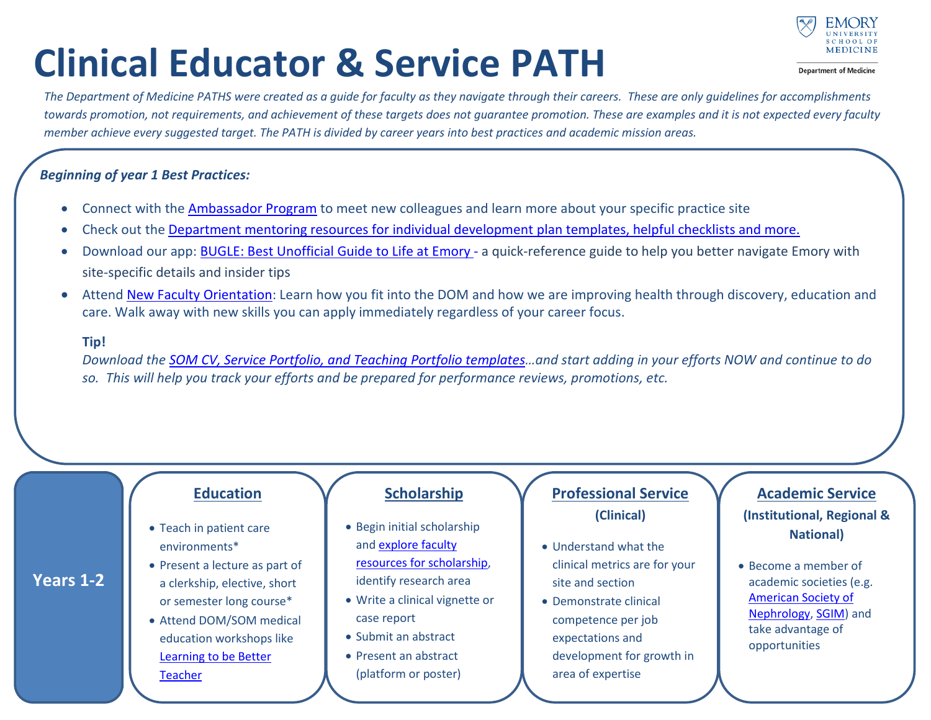

**Department of Medicine** 

*The Department of Medicine PATHS were created as a guide for faculty as they navigate through their careers. These are only guidelines for accomplishments towards promotion, not requirements, and achievement of these targets does not guarantee promotion. These are examples and it is not expected every faculty member achieve every suggested target. The PATH is divided by career years into best practices and academic mission areas.*

### *Beginning of year 1 Best Practices:*

- Connect with the **[Ambassador Program](https://emorymedicine.sjc1.qualtrics.com/jfe/form/SV_9HaoaxoPdCZAsNo)** to meet new colleagues and learn more about your specific practice site
- Check out the [Department mentoring resources](http://medicine.emory.edu/faculty-staff-resources/faculty-development/mentoring.html/faculty-programs/mentoring.html) for individual development plan templates, helpful checklists and more.
- Download our app: [BUGLE: Best Unofficial Guide to Life at Emory -](https://secure.web.emory.edu/medicine/bugle/) a quick-reference guide to help you better navigate Emory with site-specific details and insider tips
- Attend [New Faculty Orientation:](http://medicine.emory.edu/faculty-staff-resources/faculty-development/faculty-programs/orientation.html) Learn how you fit into the DOM and how we are improving health through discovery, education and care. Walk away with new skills you can apply immediately regardless of your career focus.

#### **Tip!**

*Download the [SOM CV, Service Portfolio, and Teaching Portfolio templates…](http://medicine.emory.edu/faculty-staff-resources/faculty-development/promotions-and-tenure/index.html#2)and start adding in your efforts NOW and continue to do so. This will help you track your efforts and be prepared for performance reviews, promotions, etc.*

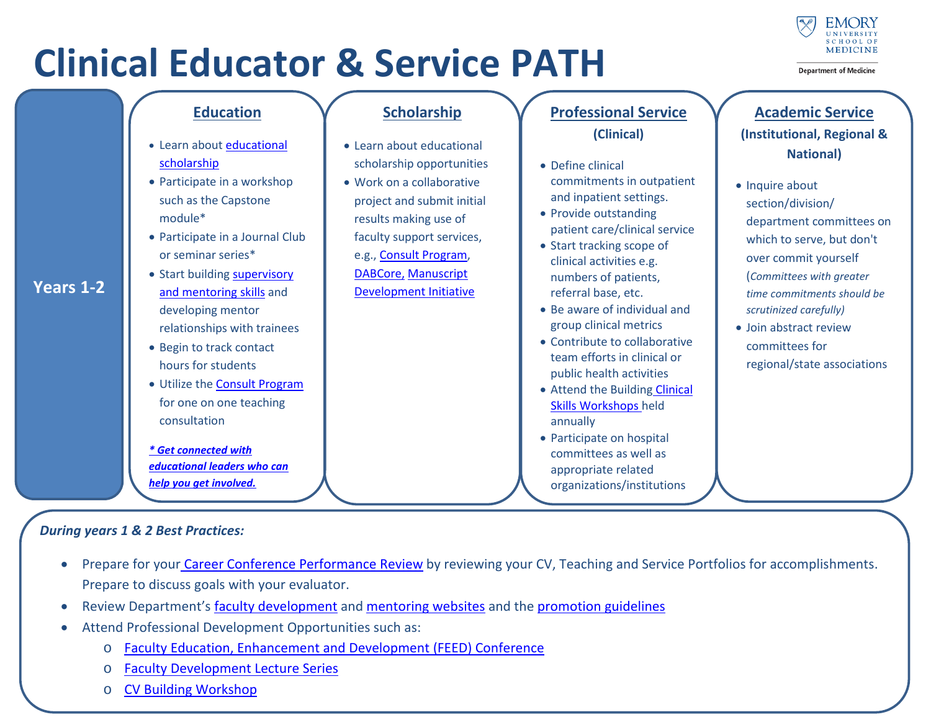

**Department of Medicine** 



### *During years 1 & 2 Best Practices:*

- Prepare for your [Career Conference Performance Review](https://inside.med.emory.edu/faculty_affairs_dev/ccpr.html) by reviewing your CV, Teaching and Service Portfolios for accomplishments. Prepare to discuss goals with your evaluator.
- Review Department's [faculty development](http://medicine.emory.edu/faculty-staff-resources/faculty-development/index.html) and [mentoring websites](http://medicine.emory.edu/faculty-staff-resources/faculty-development/mentoring.html) and the [promotion guidelines](http://medicine.emory.edu/faculty-staff-resources/faculty-development/promotions-and-tenure/index.html)
- Attend Professional Development Opportunities such as:
	- o [Faculty Education, Enhancement and Development \(FEED\) Conference](http://medicine.emory.edu/faculty-staff-resources/faculty-development/faculty-programs/feed-conference.html)
	- o [Faculty Development Lecture Series](http://med.emory.edu/faculty_dev/career-development/programs/fac-dev-lectures.html)
	- o [CV Building Workshop](http://med.emory.edu/faculty_dev/career-development/programs/index.html#promo-support)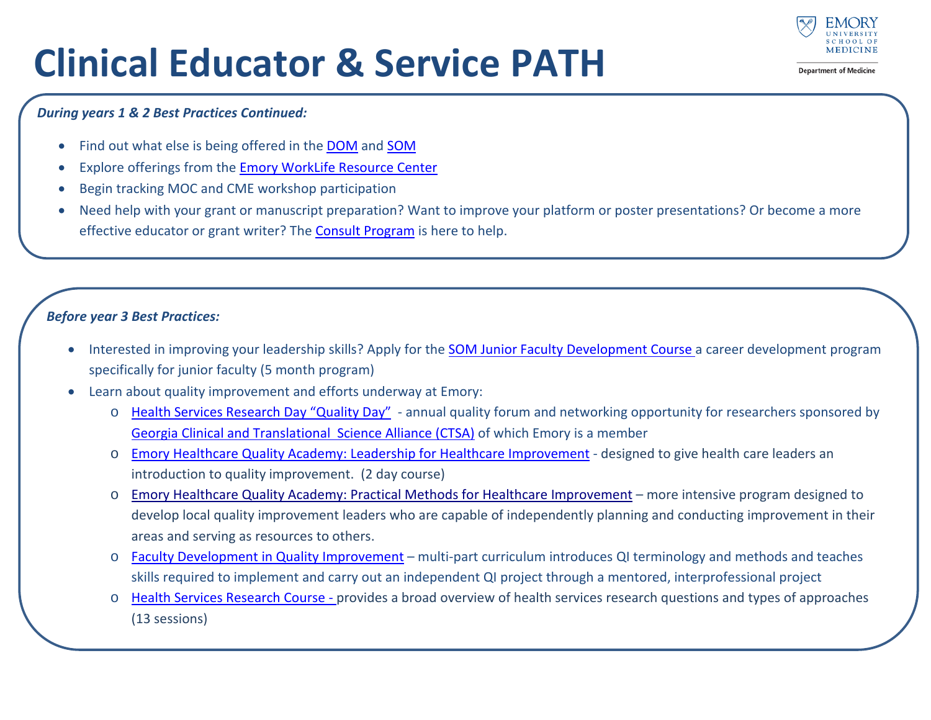

**Department of Medicine** 

#### *During years 1 & 2 Best Practices Continued:*

- Find out what else is being offered in the **DOM** and **SOM**
- Explore offerings from the [Emory WorkLife Resource Center](http://www.worklife.emory.edu/)
- Begin tracking MOC and CME workshop participation
- Need help with your grant or manuscript preparation? Want to improve your platform or poster presentations? Or become a more effective educator or grant writer? The [Consult Program](http://medicine.emory.edu/faculty-staff-resources/faculty-development/faculty-programs/consult-program.html) is here to help.

### *Before year 3 Best Practices:*

- Interested in improving your leadership skills? Apply for the [SOM Junior Faculty Development Course](https://inside.med.emory.edu/faculty_affairs_dev/jr-fac-dev-course.html) a career development program specifically for junior faculty (5 month program)
- Learn about quality improvement and efforts underway at Emory:
	- o [Health Services Research Day "Quality Day"](http://georgiactsa.org/discovery/health-services-research-day.html) annual quality forum and networking opportunity for researchers sponsored by [Georgia Clinical and Translational Science Alliance \(CTSA\)](http://georgiactsa.org/index.html) of which Emory is a member
	- o [Emory Healthcare Quality Academy: Leadership for Healthcare Improvement](http://med.emory.edu/faculty_dev/clinical/index.html) designed to give health care leaders an introduction to quality improvement. (2 day course)
	- o [Emory Healthcare Quality Academy: Practical Methods for Healthcare Improvement](http://med.emory.edu/faculty_dev/clinical/index.html) more intensive program designed to develop local quality improvement leaders who are capable of independently planning and conducting improvement in their areas and serving as resources to others.
	- o Faculty [Development in Quality Improvement](https://med.emory.edu/education/cme/abms-moc/documents/Faculty%20Development%20in%20Quality%20Improvement%20Content%20nos.pdf) multi-part curriculum introduces QI terminology and methods and teaches skills required to implement and carry out an independent QI project through a mentored, interprofessional project
	- o [Health Services Research Course](https://med.emory.edu/departments/medicine/research/centers-institutes/health-services/resources/hsr-course/index.html) provides a broad overview of health services research questions and types of approaches (13 sessions)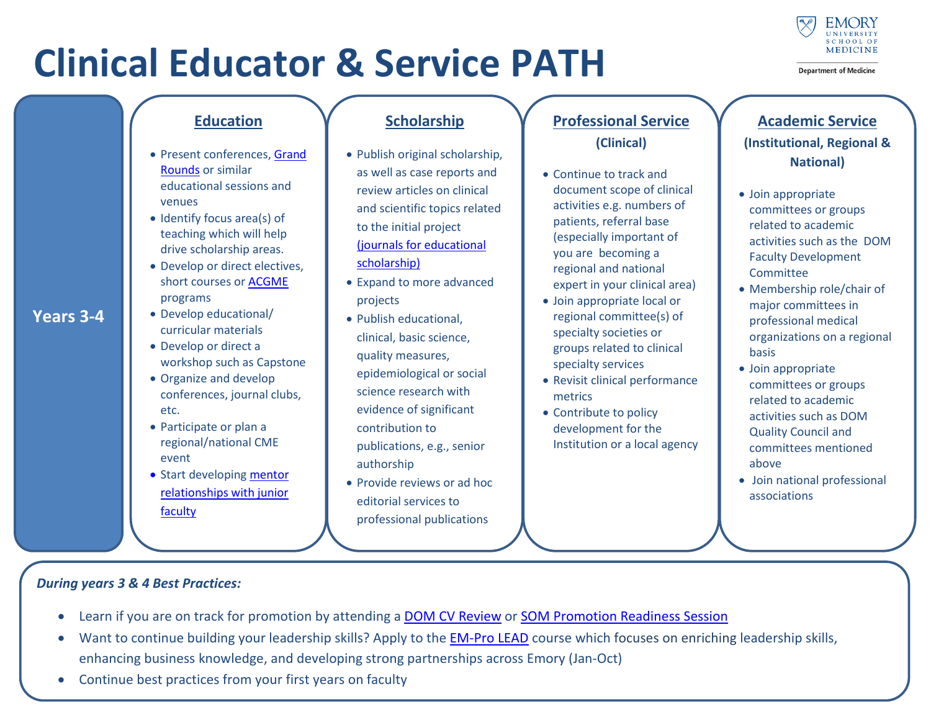

**Department of Medicine** 

### **Education**

- Present conferences, [Grand](http://medicine.emory.edu/education/cme-grand-rounds/index.html)  [Rounds](http://medicine.emory.edu/education/cme-grand-rounds/index.html) or similar educational sessions and venues
- Identify focus area(s) of teaching which will help drive scholarship areas.
- Develop or direct electives, short courses or [ACGME](http://www.acgme.org/) programs
- Develop educational/ curricular materials
- Develop or direct a workshop such as Capstone
- Organize and develop conferences, journal clubs, etc.
- Participate or plan a regional/national CME event
- Start developing [mentor](https://med.emory.edu/departments/medicine/faculty-development/mentoring.html)  [relationships with junior](https://med.emory.edu/departments/medicine/faculty-development/mentoring.html)  [faculty](https://med.emory.edu/departments/medicine/faculty-development/mentoring.html)

## **Scholarship**

- Publish original scholarship, as well as case reports and review articles on clinical and scientific topics related to the initial project [\(journals for educational](https://www.aamc.org/system/files/2019-11/prodev-affinity-groups-gea-annotated-bibliography-journal-educational-scholarship-110619.pdf)  [scholarship\)](https://www.aamc.org/system/files/2019-11/prodev-affinity-groups-gea-annotated-bibliography-journal-educational-scholarship-110619.pdf)
- Expand to more advanced projects
- Publish educational, clinical, basic science, quality measures, epidemiological or social science research with evidence of significant contribution to publications, e.g., senior authorship
- Provide reviews or ad hoc editorial services to professional publications

### **Professional Service (Clinical)**

- Continue to track and document scope of clinical activities e.g. numbers of patients, referral base (especially important of you are becoming a regional and national expert in your clinical area)
- Join appropriate local or regional committee(s) of specialty societies or groups related to clinical specialty services
- Revisit clinical performance metrics
- Contribute to policy development for the Institution or a local agency

## **Academic Service (Institutional, Regional & National)**

- Join appropriate committees or groups related to academic activities such as the DOM Faculty Development Committee
- Membership role/chair of major committees in professional medical organizations on a regional basis
- Join appropriate committees or groups related to academic activities such as DOM Quality Council and committees mentioned above
- Join national professional associations

### *During years 3 & 4 Best Practices:*

**Years 3-4**

- Learn if you are on track for promotion by attending [a DOM CV Review](http://medicine.emory.edu/faculty-staff-resources/faculty-development/promotions-and-tenure/index.html#4) or [SOM Promotion Readiness Session](http://med.emory.edu/faculty_dev/career-development/programs/index.html#promo-support)
- Want to continue building your leadership skills? Apply to the **EM-Pro LEAD** course which focuses on enriching leadership skills, enhancing business knowledge, and developing strong partnerships across Emory (Jan-Oct)
- Continue best practices from your first years on faculty